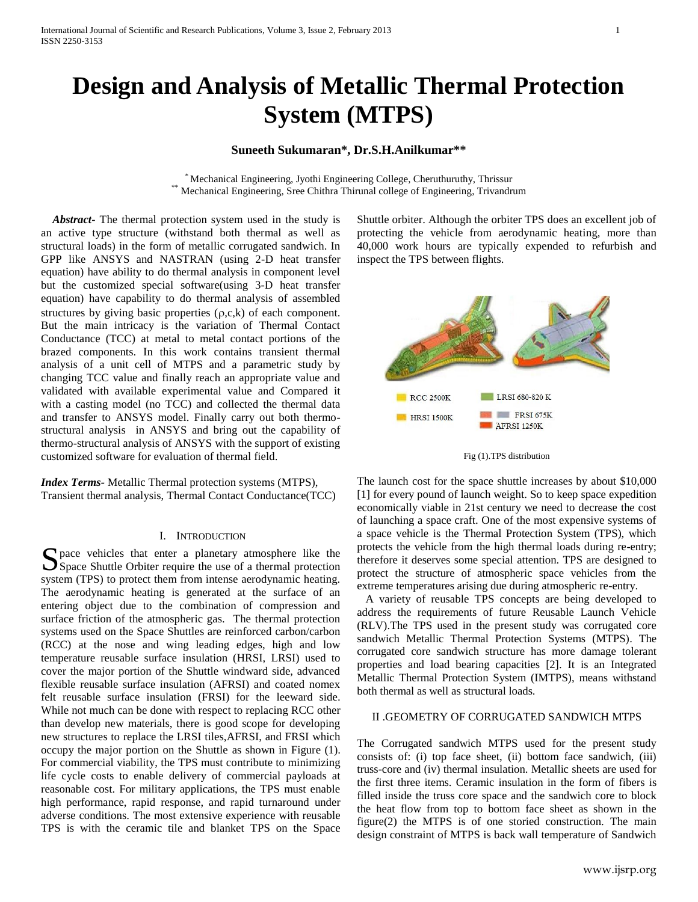# **Design and Analysis of Metallic Thermal Protection System (MTPS)**

# **Suneeth Sukumaran\*, Dr.S.H.Anilkumar\*\***

\* Mechanical Engineering, Jyothi Engineering College, Cheruthuruthy, Thrissur \*\* Mechanical Engineering, Sree Chithra Thirunal college of Engineering, Trivandrum

 *Abstract***-** The thermal protection system used in the study is an active type structure (withstand both thermal as well as structural loads) in the form of metallic corrugated sandwich. In GPP like ANSYS and NASTRAN (using 2-D heat transfer equation) have ability to do thermal analysis in component level but the customized special software(using 3-D heat transfer equation) have capability to do thermal analysis of assembled structures by giving basic properties  $(\rho,c,k)$  of each component. But the main intricacy is the variation of Thermal Contact Conductance (TCC) at metal to metal contact portions of the brazed components. In this work contains transient thermal analysis of a unit cell of MTPS and a parametric study by changing TCC value and finally reach an appropriate value and validated with available experimental value and Compared it with a casting model (no TCC) and collected the thermal data and transfer to ANSYS model. Finally carry out both thermostructural analysis in ANSYS and bring out the capability of thermo-structural analysis of ANSYS with the support of existing customized software for evaluation of thermal field.

*Index Terms-* Metallic Thermal protection systems (MTPS), Transient thermal analysis, Thermal Contact Conductance(TCC)

#### I. INTRODUCTION

 $\bigcap$  pace vehicles that enter a planetary atmosphere like the Space vehicles that enter a planetary atmosphere like the Space Shuttle Orbiter require the use of a thermal protection system (TPS) to protect them from intense aerodynamic heating. The aerodynamic heating is generated at the surface of an entering object due to the combination of compression and surface friction of the atmospheric gas. The thermal protection systems used on the Space Shuttles are reinforced carbon/carbon (RCC) at the nose and wing leading edges, high and low temperature reusable surface insulation (HRSI, LRSI) used to cover the major portion of the Shuttle windward side, advanced flexible reusable surface insulation (AFRSI) and coated nomex felt reusable surface insulation (FRSI) for the leeward side. While not much can be done with respect to replacing RCC other than develop new materials, there is good scope for developing new structures to replace the LRSI tiles,AFRSI, and FRSI which occupy the major portion on the Shuttle as shown in Figure (1). For commercial viability, the TPS must contribute to minimizing life cycle costs to enable delivery of commercial payloads at reasonable cost. For military applications, the TPS must enable high performance, rapid response, and rapid turnaround under adverse conditions. The most extensive experience with reusable TPS is with the ceramic tile and blanket TPS on the Space

Shuttle orbiter. Although the orbiter TPS does an excellent job of protecting the vehicle from aerodynamic heating, more than 40,000 work hours are typically expended to refurbish and inspect the TPS between flights.





The launch cost for the space shuttle increases by about \$10,000 [1] for every pound of launch weight. So to keep space expedition economically viable in 21st century we need to decrease the cost of launching a space craft. One of the most expensive systems of a space vehicle is the Thermal Protection System (TPS), which protects the vehicle from the high thermal loads during re-entry; therefore it deserves some special attention. TPS are designed to protect the structure of atmospheric space vehicles from the extreme temperatures arising due during atmospheric re-entry.

 A variety of reusable TPS concepts are being developed to address the requirements of future Reusable Launch Vehicle (RLV).The TPS used in the present study was corrugated core sandwich Metallic Thermal Protection Systems (MTPS). The corrugated core sandwich structure has more damage tolerant properties and load bearing capacities [2]. It is an Integrated Metallic Thermal Protection System (IMTPS), means withstand both thermal as well as structural loads.

## II .GEOMETRY OF CORRUGATED SANDWICH MTPS

The Corrugated sandwich MTPS used for the present study consists of: (i) top face sheet, (ii) bottom face sandwich, (iii) truss-core and (iv) thermal insulation. Metallic sheets are used for the first three items. Ceramic insulation in the form of fibers is filled inside the truss core space and the sandwich core to block the heat flow from top to bottom face sheet as shown in the figure(2) the MTPS is of one storied construction. The main design constraint of MTPS is back wall temperature of Sandwich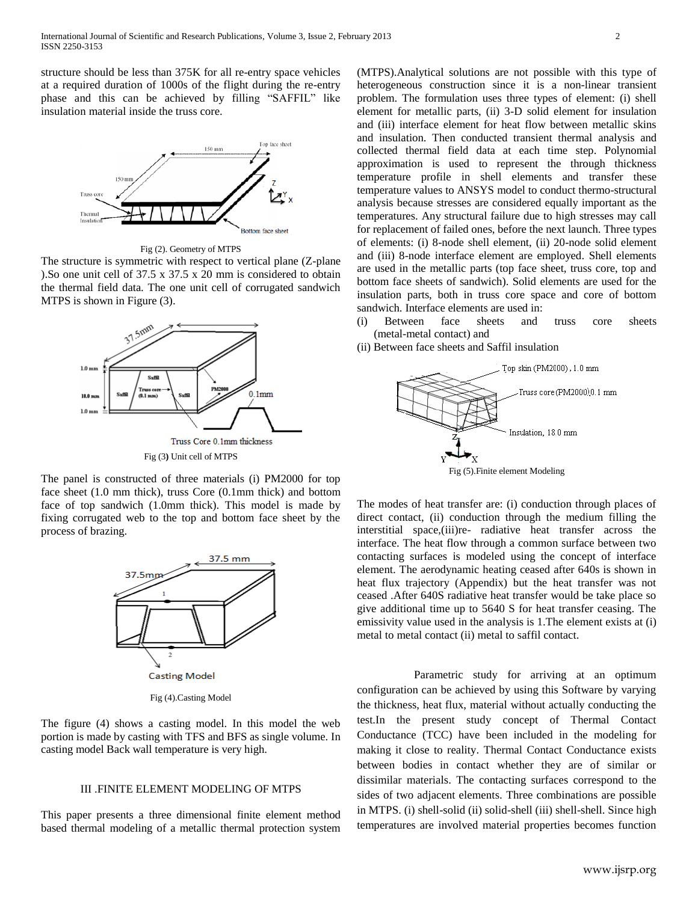structure should be less than 375K for all re-entry space vehicles at a required duration of 1000s of the flight during the re-entry phase and this can be achieved by filling "SAFFIL" like insulation material inside the truss core.



Fig (2). Geometry of MTPS

The structure is symmetric with respect to vertical plane (Z-plane ).So one unit cell of 37.5 x 37.5 x 20 mm is considered to obtain the thermal field data. The one unit cell of corrugated sandwich MTPS is shown in Figure (3).



The panel is constructed of three materials (i) PM2000 for top face sheet (1.0 mm thick), truss Core (0.1mm thick) and bottom face of top sandwich (1.0mm thick). This model is made by fixing corrugated web to the top and bottom face sheet by the process of brazing.



The figure (4) shows a casting model. In this model the web portion is made by casting with TFS and BFS as single volume. In casting model Back wall temperature is very high.

## III .FINITE ELEMENT MODELING OF MTPS

This paper presents a three dimensional finite element method based thermal modeling of a metallic thermal protection system

(MTPS).Analytical solutions are not possible with this type of heterogeneous construction since it is a non-linear transient problem. The formulation uses three types of element: (i) shell element for metallic parts, (ii) 3-D solid element for insulation and (iii) interface element for heat flow between metallic skins and insulation. Then conducted transient thermal analysis and collected thermal field data at each time step. Polynomial approximation is used to represent the through thickness temperature profile in shell elements and transfer these temperature values to ANSYS model to conduct thermo-structural analysis because stresses are considered equally important as the temperatures. Any structural failure due to high stresses may call for replacement of failed ones, before the next launch. Three types of elements: (i) 8-node shell element, (ii) 20-node solid element and (iii) 8-node interface element are employed. Shell elements are used in the metallic parts (top face sheet, truss core, top and bottom face sheets of sandwich). Solid elements are used for the insulation parts, both in truss core space and core of bottom sandwich. Interface elements are used in:

- (i) Between face sheets and truss core sheets (metal-metal contact) and
- (ii) Between face sheets and Saffil insulation



The modes of heat transfer are: (i) conduction through places of direct contact, (ii) conduction through the medium filling the interstitial space,(iii)re- radiative heat transfer across the interface. The heat flow through a common surface between two contacting surfaces is modeled using the concept of interface element. The aerodynamic heating ceased after 640s is shown in heat flux trajectory (Appendix) but the heat transfer was not ceased .After 640S radiative heat transfer would be take place so give additional time up to 5640 S for heat transfer ceasing. The emissivity value used in the analysis is 1.The element exists at (i) metal to metal contact (ii) metal to saffil contact.

 Parametric study for arriving at an optimum configuration can be achieved by using this Software by varying the thickness, heat flux, material without actually conducting the test.In the present study concept of Thermal Contact Conductance (TCC) have been included in the modeling for making it close to reality. Thermal Contact Conductance exists between bodies in contact whether they are of similar or dissimilar materials. The contacting surfaces correspond to the sides of two adjacent elements. Three combinations are possible in MTPS. (i) shell-solid (ii) solid-shell (iii) shell-shell. Since high temperatures are involved material properties becomes function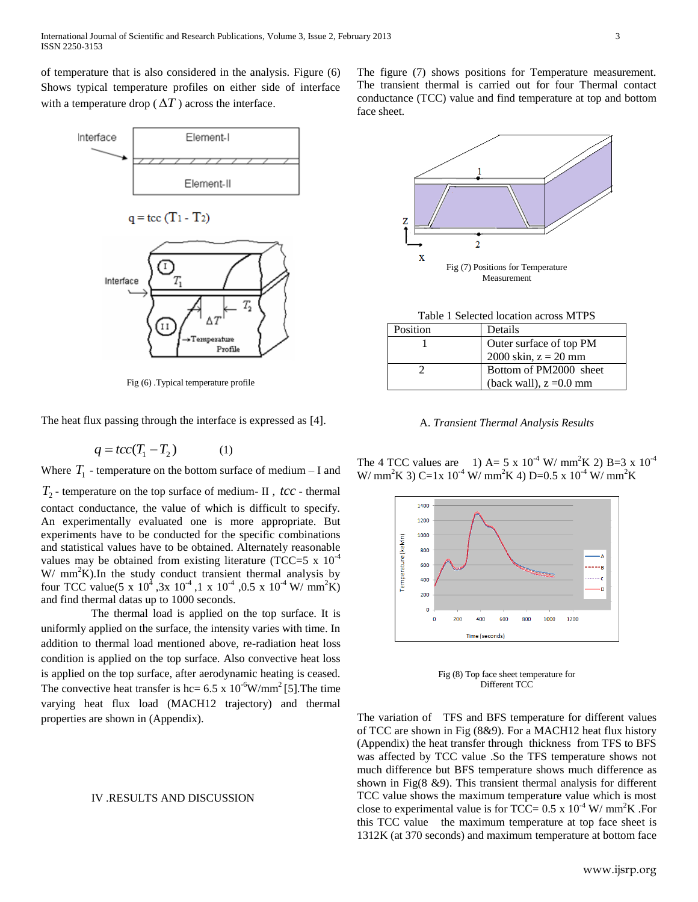of temperature that is also considered in the analysis. Figure (6) Shows typical temperature profiles on either side of interface with a temperature drop ( $\Delta T$ ) across the interface.



Fig (6) .Typical temperature profile

The heat flux passing through the interface is expressed as [4].

$$
q = tcc(T_1 - T_2) \tag{1}
$$

Where  $T_1$  - temperature on the bottom surface of medium  $-I$  and  $T_2$  - temperature on the top surface of medium- II ,  $\textit{tcc}$  - thermal contact conductance, the value of which is difficult to specify. An experimentally evaluated one is more appropriate. But experiments have to be conducted for the specific combinations and statistical values have to be obtained. Alternately reasonable values may be obtained from existing literature (TCC=5 x  $10^{-4}$ )  $W/mm^2K$ ). In the study conduct transient thermal analysis by four TCC value(5 x  $10^4$ , 3x  $10^{-4}$ , 1x  $10^{-4}$ , 0.5x  $10^{-4}$  W/mm<sup>2</sup>K) and find thermal datas up to 1000 seconds.

 The thermal load is applied on the top surface. It is uniformly applied on the surface, the intensity varies with time. In addition to thermal load mentioned above, re-radiation heat loss condition is applied on the top surface. Also convective heat loss is applied on the top surface, after aerodynamic heating is ceased. The convective heat transfer is hc=  $6.5 \times 10^{-6}$ W/mm<sup>2</sup>[5]. The time varying heat flux load (MACH12 trajectory) and thermal properties are shown in (Appendix).

### IV .RESULTS AND DISCUSSION

The figure (7) shows positions for Temperature measurement. The transient thermal is carried out for four Thermal contact conductance (TCC) value and find temperature at top and bottom face sheet.



Table 1 Selected location across MTPS

| Position | Details                   |
|----------|---------------------------|
|          | Outer surface of top PM   |
|          | 2000 skin, $z = 20$ mm    |
|          | Bottom of PM2000 sheet    |
|          | (back wall), $z = 0.0$ mm |

A. *Transient Thermal Analysis Results*

The 4 TCC values are 1) A= 5 x  $10^{-4}$  W/ mm<sup>2</sup>K 2) B=3 x  $10^{-4}$ W/ mm<sup>2</sup>K 3) C=1x 10<sup>-4</sup> W/ mm<sup>2</sup>K 4) D=0.5 x 10<sup>-4</sup> W/ mm<sup>2</sup>K



Fig (8) Top face sheet temperature for Different TCC

The variation of TFS and BFS temperature for different values of TCC are shown in Fig (8&9). For a MACH12 heat flux history (Appendix) the heat transfer through thickness from TFS to BFS was affected by TCC value .So the TFS temperature shows not much difference but BFS temperature shows much difference as shown in Fig(8 &9). This transient thermal analysis for different TCC value shows the maximum temperature value which is most close to experimental value is for TCC=  $0.5 \times 10^{-4}$  W/ mm<sup>2</sup>K .For this TCC value the maximum temperature at top face sheet is 1312K (at 370 seconds) and maximum temperature at bottom face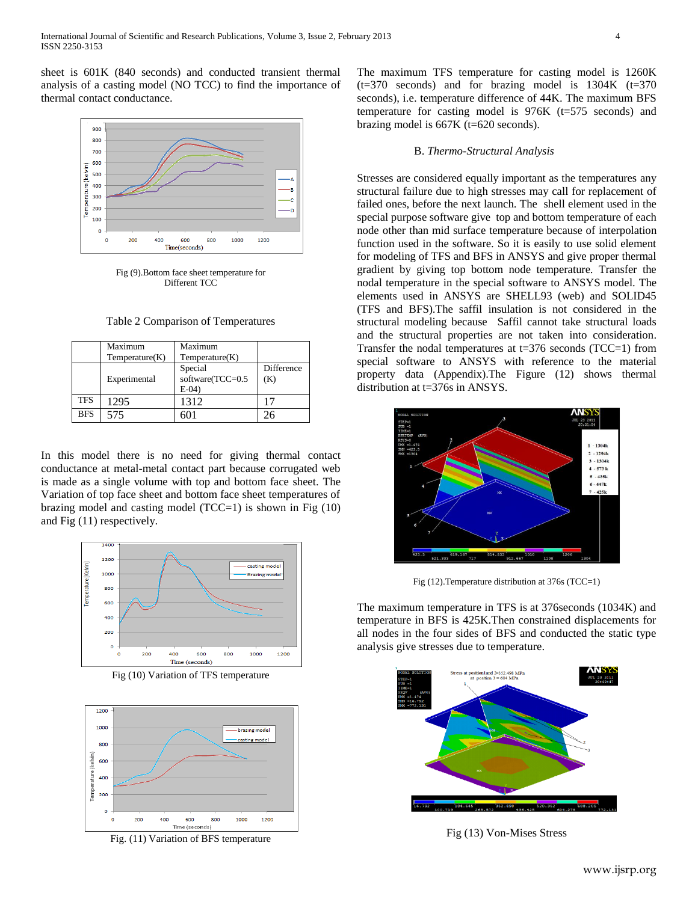sheet is 601K (840 seconds) and conducted transient thermal analysis of a casting model (NO TCC) to find the importance of thermal contact conductance.



Fig (9).Bottom face sheet temperature for Different TCC

Table 2 Comparison of Temperatures

|            | Maximum<br>Temperature(K) | Maximum<br>Temperature(K)               |                   |
|------------|---------------------------|-----------------------------------------|-------------------|
|            | Experimental              | Special<br>software(TCC=0.5<br>$E-04$ ) | Difference<br>(K) |
| <b>TFS</b> | 1295                      | 1312                                    |                   |
| <b>BFS</b> | 575                       | 601                                     | 26                |

In this model there is no need for giving thermal contact conductance at metal-metal contact part because corrugated web is made as a single volume with top and bottom face sheet. The Variation of top face sheet and bottom face sheet temperatures of brazing model and casting model  $(TCC=1)$  is shown in Fig  $(10)$ and Fig (11) respectively.



Fig (10) Variation of TFS temperature



Fig. (11) Variation of BFS temperature

The maximum TFS temperature for casting model is 1260K  $(t=370$  seconds) and for brazing model is  $1304K$   $(t=370$ seconds), i.e. temperature difference of 44K. The maximum BFS temperature for casting model is  $976K$  ( $t=575$  seconds) and brazing model is 667K (t=620 seconds).

#### B. *Thermo-Structural Analysis*

Stresses are considered equally important as the temperatures any structural failure due to high stresses may call for replacement of failed ones, before the next launch. The shell element used in the special purpose software give top and bottom temperature of each node other than mid surface temperature because of interpolation function used in the software. So it is easily to use solid element for modeling of TFS and BFS in ANSYS and give proper thermal gradient by giving top bottom node temperature. Transfer the nodal temperature in the special software to ANSYS model. The elements used in ANSYS are SHELL93 (web) and SOLID45 (TFS and BFS).The saffil insulation is not considered in the structural modeling because Saffil cannot take structural loads and the structural properties are not taken into consideration. Transfer the nodal temperatures at  $t=376$  seconds (TCC=1) from special software to ANSYS with reference to the material property data (Appendix).The Figure (12) shows thermal distribution at t=376s in ANSYS.



Fig (12).Temperature distribution at 376s (TCC=1)

The maximum temperature in TFS is at 376seconds (1034K) and temperature in BFS is 425K.Then constrained displacements for all nodes in the four sides of BFS and conducted the static type analysis give stresses due to temperature.



Fig (13) Von-Mises Stress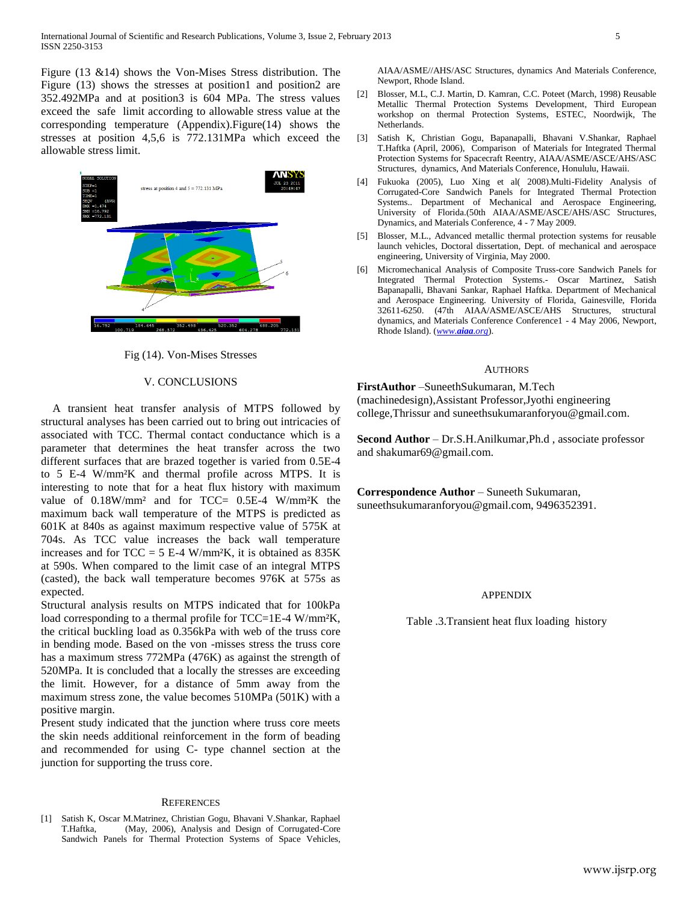Figure (13 &14) shows the Von-Mises Stress distribution. The Figure (13) shows the stresses at position1 and position2 are 352.492MPa and at position3 is 604 MPa. The stress values exceed the safe limit according to allowable stress value at the corresponding temperature (Appendix).Figure(14) shows the stresses at position 4,5,6 is 772.131MPa which exceed the allowable stress limit.



Fig (14). Von-Mises Stresses

## V. CONCLUSIONS

 A transient heat transfer analysis of MTPS followed by structural analyses has been carried out to bring out intricacies of associated with TCC. Thermal contact conductance which is a parameter that determines the heat transfer across the two different surfaces that are brazed together is varied from 0.5E-4 to 5 E-4 W/mm²K and thermal profile across MTPS. It is interesting to note that for a heat flux history with maximum value of 0.18W/mm² and for TCC= 0.5E-4 W/mm²K the maximum back wall temperature of the MTPS is predicted as 601K at 840s as against maximum respective value of 575K at 704s. As TCC value increases the back wall temperature increases and for  $TCC = 5 E-4 W/mm<sup>2</sup>K$ , it is obtained as 835K at 590s. When compared to the limit case of an integral MTPS (casted), the back wall temperature becomes 976K at 575s as expected.

Structural analysis results on MTPS indicated that for 100kPa load corresponding to a thermal profile for TCC=1E-4 W/mm<sup>2</sup>K, the critical buckling load as 0.356kPa with web of the truss core in bending mode. Based on the von -misses stress the truss core has a maximum stress 772MPa (476K) as against the strength of 520MPa. It is concluded that a locally the stresses are exceeding the limit. However, for a distance of 5mm away from the maximum stress zone, the value becomes 510MPa (501K) with a positive margin.

Present study indicated that the junction where truss core meets the skin needs additional reinforcement in the form of beading and recommended for using C- type channel section at the junction for supporting the truss core.

#### **REFERENCES**

[1] Satish K, Oscar M.Matrinez, Christian Gogu, Bhavani V.Shankar, Raphael T.Haftka, (May, 2006), Analysis and Design of Corrugated-Core Sandwich Panels for Thermal Protection Systems of Space Vehicles, AIAA/ASME//AHS/ASC Structures, dynamics And Materials Conference, Newport, Rhode Island.

- [2] Blosser, M.L, C.J. Martin, D. Kamran, C.C. Poteet (March, 1998) Reusable Metallic Thermal Protection Systems Development, Third European workshop on thermal Protection Systems, ESTEC, Noordwijk, The Netherlands.
- [3] Satish K, Christian Gogu, Bapanapalli, Bhavani V.Shankar, Raphael T.Haftka (April, 2006), Comparison of Materials for Integrated Thermal Protection Systems for Spacecraft Reentry, AIAA/ASME/ASCE/AHS/ASC Structures, dynamics, And Materials Conference, Honululu, Hawaii.
- [4] Fukuoka (2005), Luo Xing et al( 2008).Multi-Fidelity Analysis of Corrugated-Core Sandwich Panels for Integrated Thermal Protection Systems.. Department of Mechanical and Aerospace Engineering, University of Florida.(50th AIAA/ASME/ASCE/AHS/ASC Structures, Dynamics, and Materials Conference, 4 - 7 May 2009.
- [5] Blosser, M.L., Advanced metallic thermal protection systems for reusable launch vehicles, Doctoral dissertation, Dept. of mechanical and aerospace engineering, University of Virginia, May 2000.
- [6] Micromechanical Analysis of Composite Truss-core Sandwich Panels for Integrated Thermal Protection Systems.- Oscar Martinez, Satish Bapanapalli, Bhavani Sankar, Raphael Haftka. Department of Mechanical and Aerospace Engineering. University of Florida, Gainesville, Florida 32611-6250. (47th AIAA/ASME/ASCE/AHS Structures, structural dynamics, and Materials Conference Conference1 - 4 May 2006, Newport, Rhode Island). (*[www.](http://www.aiaa.org/)[aiaa](http://www.aiaa.org/)[.org](http://www.aiaa.org/)*).

#### AUTHORS

**FirstAuthor** –SuneethSukumaran, M.Tech (machinedesign),Assistant Professor,Jyothi engineering college,Thrissur and suneethsukumaranforyou@gmail.com.

**Second Author** – Dr.S.H.Anilkumar,Ph.d , associate professor and shakumar69@gmail.com.

**Correspondence Author** – Suneeth Sukumaran, suneethsukumaranforyou@gmail.com, 9496352391.

#### APPENDIX

Table .3.Transient heat flux loading history